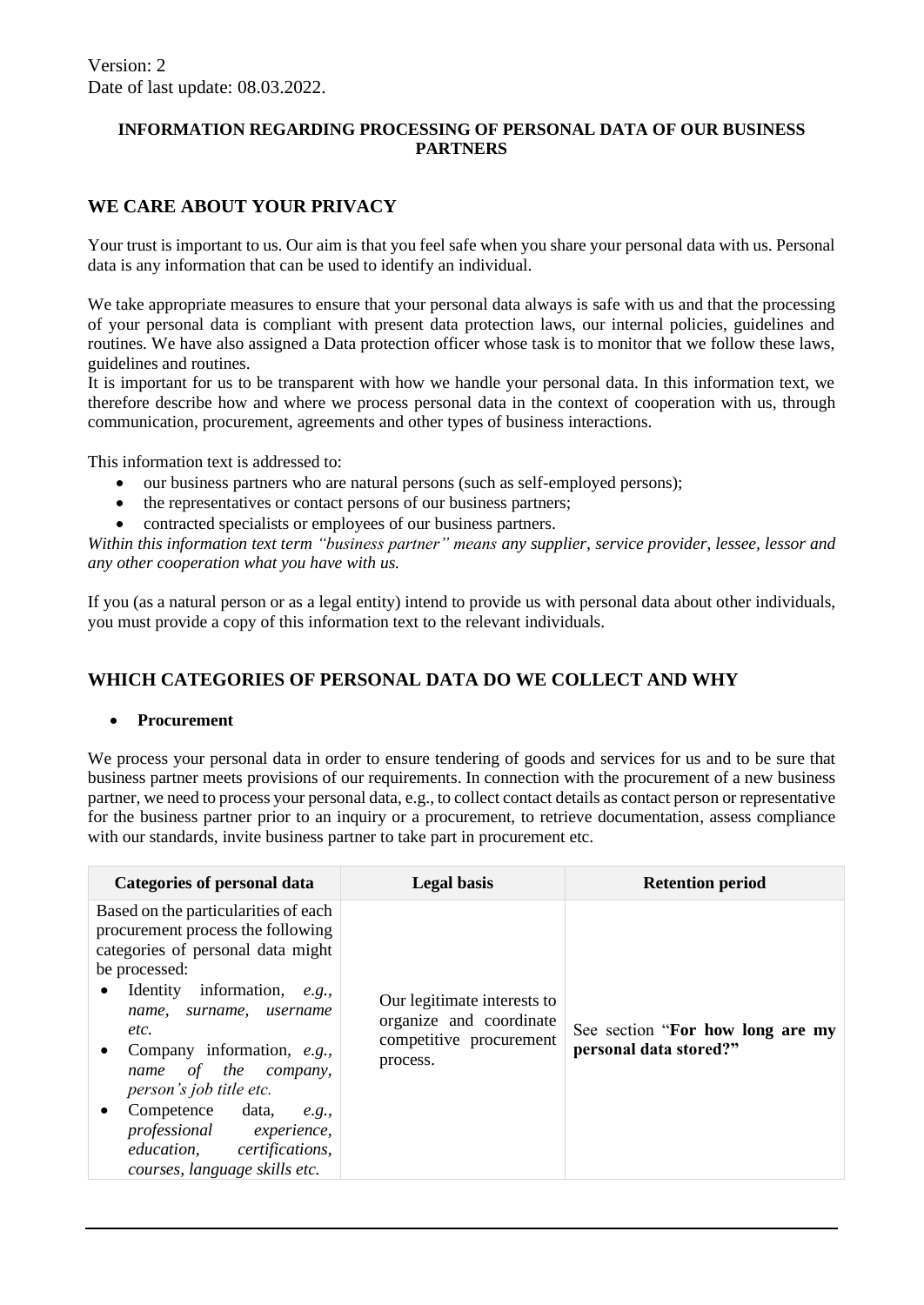## **INFORMATION REGARDING PROCESSING OF PERSONAL DATA OF OUR BUSINESS PARTNERS**

## **WE CARE ABOUT YOUR PRIVACY**

Your trust is important to us. Our aim is that you feel safe when you share your personal data with us. Personal data is any information that can be used to identify an individual.

We take appropriate measures to ensure that your personal data always is safe with us and that the processing of your personal data is compliant with present data protection laws, our internal policies, guidelines and routines. We have also assigned a Data protection officer whose task is to monitor that we follow these laws, guidelines and routines.

It is important for us to be transparent with how we handle your personal data. In this information text, we therefore describe how and where we process personal data in the context of cooperation with us, through communication, procurement, agreements and other types of business interactions.

This information text is addressed to:

- our business partners who are natural persons (such as self-employed persons);
- the representatives or contact persons of our business partners;
- contracted specialists or employees of our business partners.

*Within this information text term "business partner" means any supplier, service provider, lessee, lessor and any other cooperation what you have with us.*

If you (as a natural person or as a legal entity) intend to provide us with personal data about other individuals, you must provide a copy of this information text to the relevant individuals.

# **WHICH CATEGORIES OF PERSONAL DATA DO WE COLLECT AND WHY**

## • **Procurement**

We process your personal data in order to ensure tendering of goods and services for us and to be sure that business partner meets provisions of our requirements. In connection with the procurement of a new business partner, we need to process your personal data, e.g., to collect contact details as contact person or representative for the business partner prior to an inquiry or a procurement, to retrieve documentation, assess compliance with our standards, invite business partner to take part in procurement etc.

| Categories of personal data                                                                                                                                                                                                                                                                                                                                                                                                                  | <b>Legal</b> basis                                                                            | <b>Retention period</b>                                    |
|----------------------------------------------------------------------------------------------------------------------------------------------------------------------------------------------------------------------------------------------------------------------------------------------------------------------------------------------------------------------------------------------------------------------------------------------|-----------------------------------------------------------------------------------------------|------------------------------------------------------------|
| Based on the particularities of each<br>procurement process the following<br>categories of personal data might<br>be processed:<br>Identity information, e.g.,<br>$\bullet$<br>name, surname,<br>username<br>etc.<br>Company information, e.g.,<br>$\bullet$<br>name of the company,<br>person's job title etc.<br>Competence data,<br>e.g.,<br>٠<br>professional experience,<br>education, certifications,<br>courses, language skills etc. | Our legitimate interests to<br>organize and coordinate<br>competitive procurement<br>process. | See section "For how long are my<br>personal data stored?" |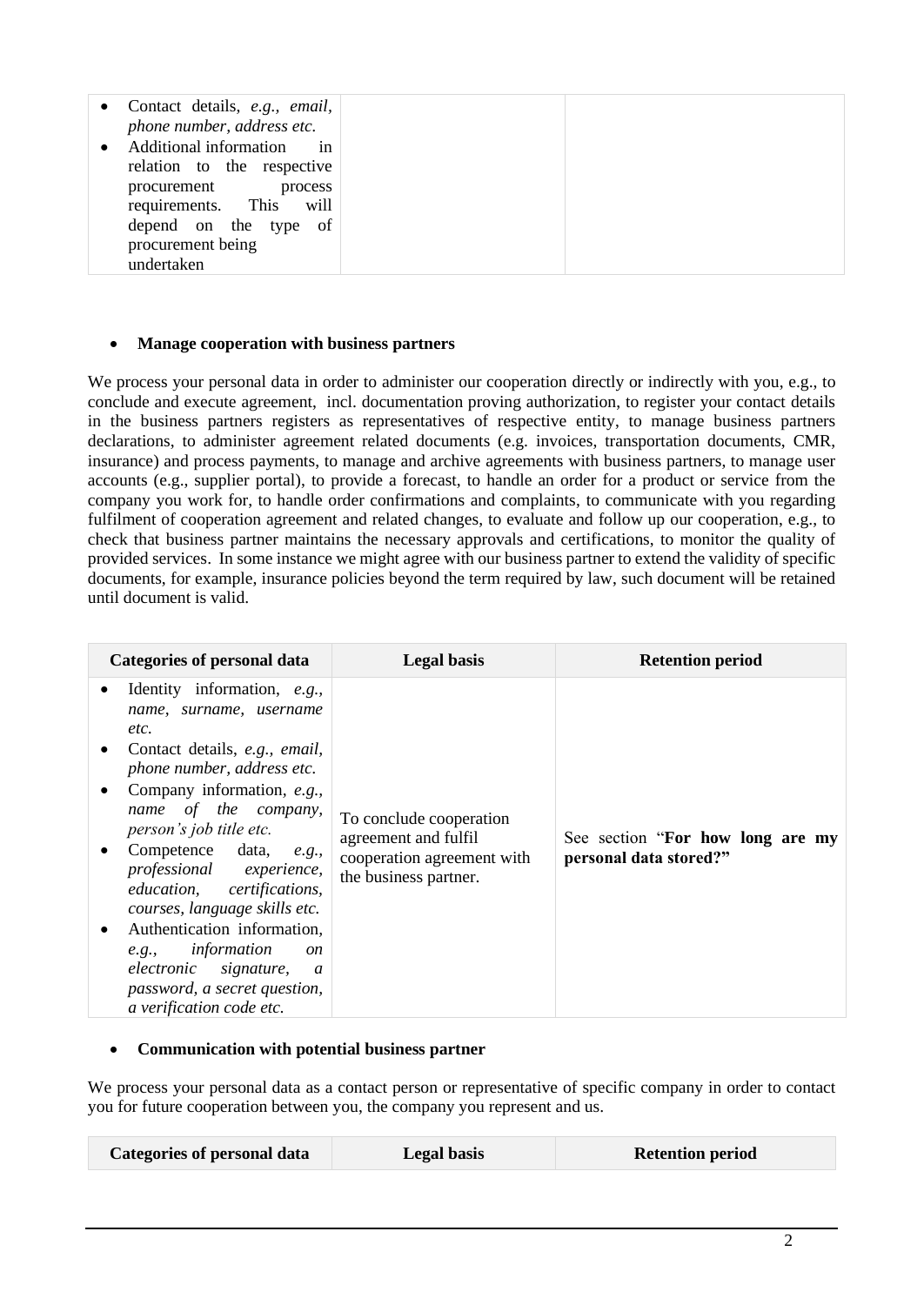| • Contact details, e.g., email,<br>phone number, address etc.           |
|-------------------------------------------------------------------------|
| Additional information in<br>relation to the respective                 |
| procurement process<br>requirements. This will<br>depend on the type of |
| procurement being<br>undertaken                                         |

### • **Manage cooperation with business partners**

We process your personal data in order to administer our cooperation directly or indirectly with you, e.g., to conclude and execute agreement, incl. documentation proving authorization, to register your contact details in the business partners registers as representatives of respective entity, to manage business partners declarations, to administer agreement related documents (e.g. invoices, transportation documents, CMR, insurance) and process payments, to manage and archive agreements with business partners, to manage user accounts (e.g., supplier portal), to provide a forecast, to handle an order for a product or service from the company you work for, to handle order confirmations and complaints, to communicate with you regarding fulfilment of cooperation agreement and related changes, to evaluate and follow up our cooperation, e.g., to check that business partner maintains the necessary approvals and certifications, to monitor the quality of provided services. In some instance we might agree with our business partner to extend the validity of specific documents, for example, insurance policies beyond the term required by law, such document will be retained until document is valid.

| <b>Categories of personal data</b>                                                                                                                                                                                                                                                                                                                                                                                                                                                                                                              | <b>Legal</b> basis                                                                                     | <b>Retention period</b>                                    |
|-------------------------------------------------------------------------------------------------------------------------------------------------------------------------------------------------------------------------------------------------------------------------------------------------------------------------------------------------------------------------------------------------------------------------------------------------------------------------------------------------------------------------------------------------|--------------------------------------------------------------------------------------------------------|------------------------------------------------------------|
| Identity information, e.g.,<br>$\bullet$<br>name, surname, username<br>etc.<br>Contact details, e.g., email,<br>$\bullet$<br>phone number, address etc.<br>Company information, e.g.,<br>$\bullet$<br>name of the company,<br>person's job title etc.<br>Competence data, e.g.,<br>$\bullet$<br>professional experience,<br>education, certifications,<br>courses, language skills etc.<br>Authentication information,<br>e.g., <i>information</i><br>on<br>electronic signature, a<br>password, a secret question,<br>a verification code etc. | To conclude cooperation<br>agreement and fulfil<br>cooperation agreement with<br>the business partner. | See section "For how long are my<br>personal data stored?" |

## • **Communication with potential business partner**

We process your personal data as a contact person or representative of specific company in order to contact you for future cooperation between you, the company you represent and us.

| <b>Categories of personal data</b> | <b>Legal basis</b> | <b>Retention period</b> |
|------------------------------------|--------------------|-------------------------|
|                                    |                    |                         |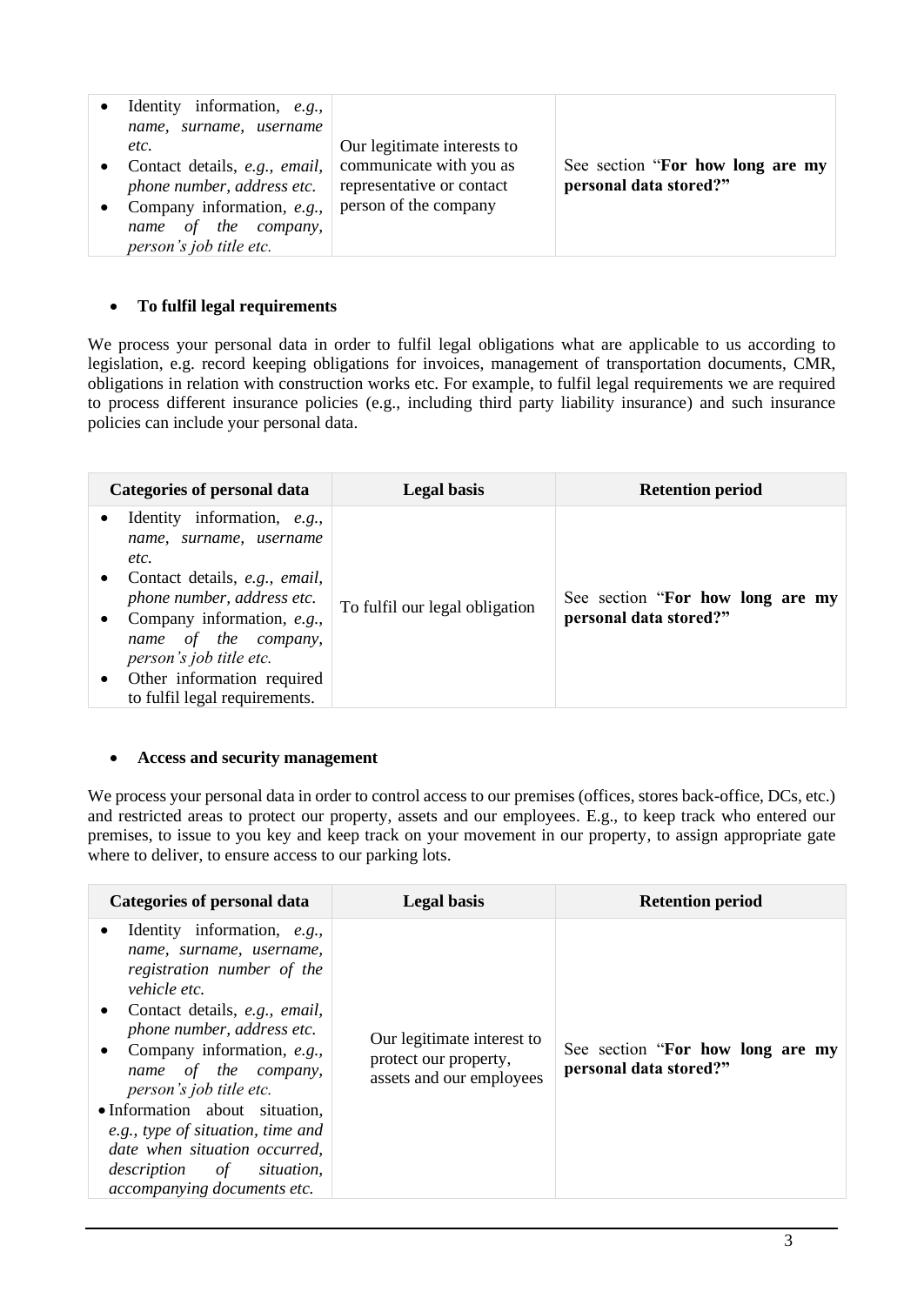|  | Identity information, e.g.,<br>surname, username<br>name,<br>etc.<br>Contact details, e.g., email,<br>phone number, address etc.<br>Company information, e.g.,<br>of the company,<br>name<br>person's job title etc. | Our legitimate interests to<br>communicate with you as<br>representative or contact<br>person of the company | See section "For how long are my<br>personal data stored?" |
|--|----------------------------------------------------------------------------------------------------------------------------------------------------------------------------------------------------------------------|--------------------------------------------------------------------------------------------------------------|------------------------------------------------------------|
|--|----------------------------------------------------------------------------------------------------------------------------------------------------------------------------------------------------------------------|--------------------------------------------------------------------------------------------------------------|------------------------------------------------------------|

## • **To fulfil legal requirements**

We process your personal data in order to fulfil legal obligations what are applicable to us according to legislation, e.g. record keeping obligations for invoices, management of transportation documents, CMR, obligations in relation with construction works etc. For example, to fulfil legal requirements we are required to process different insurance policies (e.g., including third party liability insurance) and such insurance policies can include your personal data.

| Categories of personal data                                                                                                                                                                                                                                                                                               | Legal basis                    | <b>Retention period</b>                                    |
|---------------------------------------------------------------------------------------------------------------------------------------------------------------------------------------------------------------------------------------------------------------------------------------------------------------------------|--------------------------------|------------------------------------------------------------|
| Identity information, e.g.,<br>$\bullet$<br>name, surname, username<br>etc.<br>Contact details, e.g., email,<br>$\bullet$<br>phone number, address etc.<br>Company information, e.g.,<br>٠<br>name of the company,<br>person's job title etc.<br>Other information required<br>$\bullet$<br>to fulfil legal requirements. | To fulfil our legal obligation | See section "For how long are my<br>personal data stored?" |

## • **Access and security management**

We process your personal data in order to control access to our premises (offices, stores back-office, DCs, etc.) and restricted areas to protect our property, assets and our employees. E.g., to keep track who entered our premises, to issue to you key and keep track on your movement in our property, to assign appropriate gate where to deliver, to ensure access to our parking lots.

| Categories of personal data                                                                                                                                                                                                                                                                                                                                                                                                                                                            | <b>Legal basis</b>                                                              | <b>Retention period</b>                                    |
|----------------------------------------------------------------------------------------------------------------------------------------------------------------------------------------------------------------------------------------------------------------------------------------------------------------------------------------------------------------------------------------------------------------------------------------------------------------------------------------|---------------------------------------------------------------------------------|------------------------------------------------------------|
| Identity information, e.g.,<br>$\bullet$<br>name, surname, username,<br>registration number of the<br><i>vehicle etc.</i><br>Contact details, e.g., email,<br>$\bullet$<br>phone number, address etc.<br>Company information, e.g.,<br>$\bullet$<br>name of the company,<br>person's job title etc.<br>• Information about situation,<br>e.g., type of situation, time and<br>date when situation occurred,<br><i>description</i> of <i>situation</i> ,<br>accompanying documents etc. | Our legitimate interest to<br>protect our property,<br>assets and our employees | See section "For how long are my<br>personal data stored?" |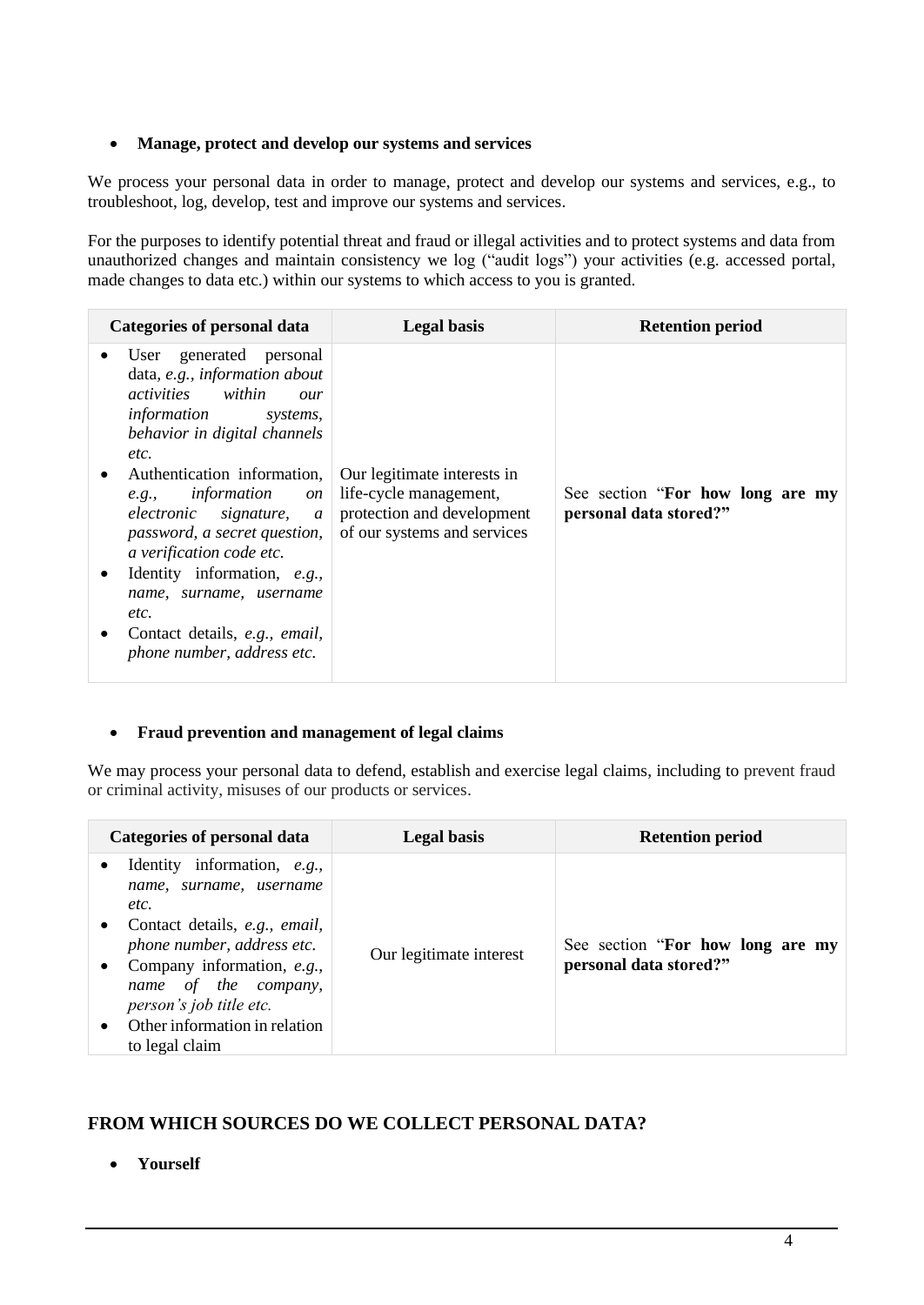## • **Manage, protect and develop our systems and services**

We process your personal data in order to manage, protect and develop our systems and services, e.g., to troubleshoot, log, develop, test and improve our systems and services.

For the purposes to identify potential threat and fraud or illegal activities and to protect systems and data from unauthorized changes and maintain consistency we log ("audit logs") your activities (e.g. accessed portal, made changes to data etc.) within our systems to which access to you is granted.

| Categories of personal data                                                                                                                                                                                                                                                                                                                                                                                                                                         | <b>Legal basis</b>                                                                                                 | <b>Retention period</b>                                    |
|---------------------------------------------------------------------------------------------------------------------------------------------------------------------------------------------------------------------------------------------------------------------------------------------------------------------------------------------------------------------------------------------------------------------------------------------------------------------|--------------------------------------------------------------------------------------------------------------------|------------------------------------------------------------|
| User generated personal<br>data, e.g., information about<br><i>activities within</i><br>$_{Our}$<br>information<br>systems,<br>behavior in digital channels<br>etc.<br>Authentication information,<br>e.g., <i>information</i><br>on<br>electronic signature, $a \mid$<br>password, a secret question,<br>a verification code etc.<br>Identity information, e.g.,<br>name, surname, username<br>etc.<br>Contact details, e.g., email,<br>phone number, address etc. | Our legitimate interests in<br>life-cycle management,<br>protection and development<br>of our systems and services | See section "For how long are my<br>personal data stored?" |

## • **Fraud prevention and management of legal claims**

We may process your personal data to defend, establish and exercise legal claims, including to prevent fraud or criminal activity, misuses of our products or services.

| <b>Categories of personal data</b>                                                                                                                                                                                                                                                                                    | <b>Legal basis</b>      | <b>Retention period</b>                                    |
|-----------------------------------------------------------------------------------------------------------------------------------------------------------------------------------------------------------------------------------------------------------------------------------------------------------------------|-------------------------|------------------------------------------------------------|
| Identity information, e.g.,<br>$\bullet$<br>name, surname, username<br>etc.<br>Contact details, e.g., email,<br>$\bullet$<br>phone number, address etc.<br>Company information, e.g.,<br>$\bullet$<br>name of the company,<br>person's job title etc.<br>Other information in relation<br>$\bullet$<br>to legal claim | Our legitimate interest | See section "For how long are my<br>personal data stored?" |

# **FROM WHICH SOURCES DO WE COLLECT PERSONAL DATA?**

• **Yourself**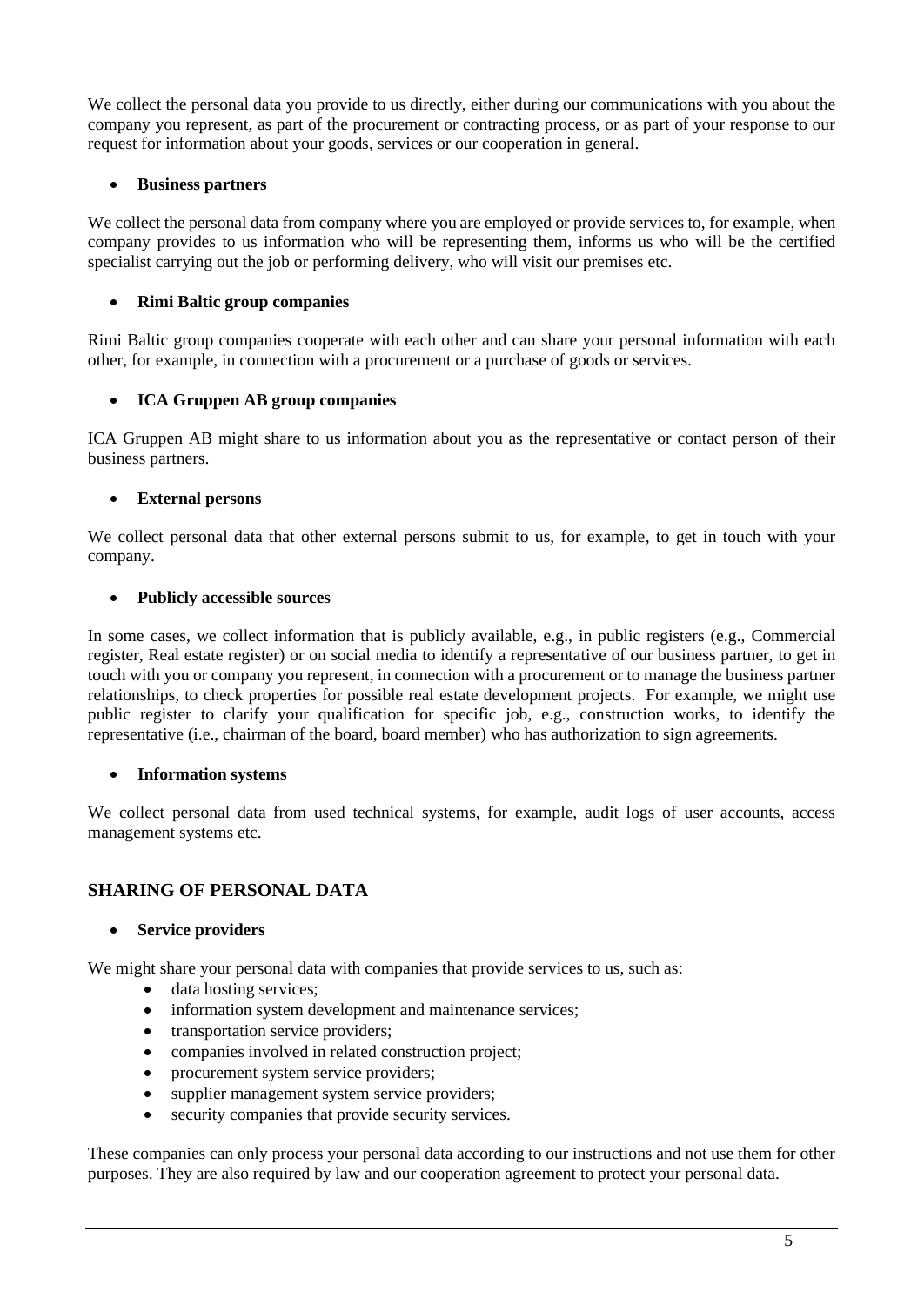We collect the personal data you provide to us directly, either during our communications with you about the company you represent, as part of the procurement or contracting process, or as part of your response to our request for information about your goods, services or our cooperation in general.

## • **Business partners**

We collect the personal data from company where you are employed or provide services to, for example, when company provides to us information who will be representing them, informs us who will be the certified specialist carrying out the job or performing delivery, who will visit our premises etc.

## • **Rimi Baltic group companies**

Rimi Baltic group companies cooperate with each other and can share your personal information with each other, for example, in connection with a procurement or a purchase of goods or services.

## • **ICA Gruppen AB group companies**

ICA Gruppen AB might share to us information about you as the representative or contact person of their business partners.

## • **External persons**

We collect personal data that other external persons submit to us, for example, to get in touch with your company.

## • **Publicly accessible sources**

In some cases, we collect information that is publicly available, e.g., in public registers (e.g., Commercial register, Real estate register) or on social media to identify a representative of our business partner, to get in touch with you or company you represent, in connection with a procurement or to manage the business partner relationships, to check properties for possible real estate development projects. For example, we might use public register to clarify your qualification for specific job, e.g., construction works, to identify the representative (i.e., chairman of the board, board member) who has authorization to sign agreements.

## • **Information systems**

We collect personal data from used technical systems, for example, audit logs of user accounts, access management systems etc.

## **SHARING OF PERSONAL DATA**

## • **Service providers**

We might share your personal data with companies that provide services to us, such as:

- data hosting services;
- information system development and maintenance services;
- transportation service providers;
- companies involved in related construction project;
- procurement system service providers;
- supplier management system service providers;
- security companies that provide security services.

These companies can only process your personal data according to our instructions and not use them for other purposes. They are also required by law and our cooperation agreement to protect your personal data.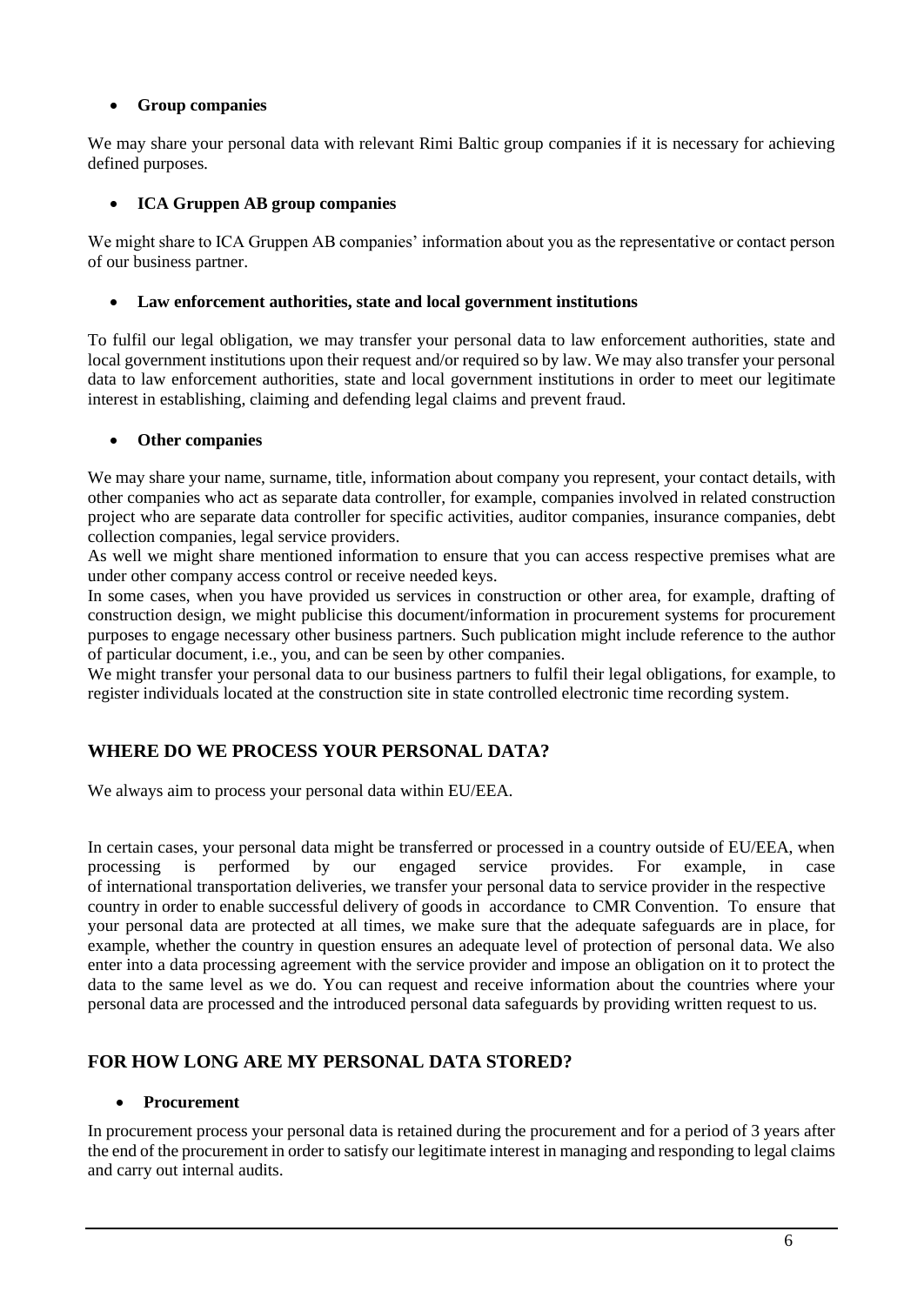## • **Group companies**

We may share your personal data with relevant Rimi Baltic group companies if it is necessary for achieving defined purposes*.*

## • **ICA Gruppen AB group companies**

We might share to ICA Gruppen AB companies' information about you as the representative or contact person of our business partner.

#### • **Law enforcement authorities, state and local government institutions**

To fulfil our legal obligation, we may transfer your personal data to law enforcement authorities, state and local government institutions upon their request and/or required so by law. We may also transfer your personal data to law enforcement authorities, state and local government institutions in order to meet our legitimate interest in establishing, claiming and defending legal claims and prevent fraud.

### • **Other companies**

We may share your name, surname, title, information about company you represent, your contact details, with other companies who act as separate data controller, for example, companies involved in related construction project who are separate data controller for specific activities, auditor companies, insurance companies, debt collection companies, legal service providers.

As well we might share mentioned information to ensure that you can access respective premises what are under other company access control or receive needed keys.

In some cases, when you have provided us services in construction or other area, for example, drafting of construction design, we might publicise this document/information in procurement systems for procurement purposes to engage necessary other business partners. Such publication might include reference to the author of particular document, i.e., you, and can be seen by other companies.

We might transfer your personal data to our business partners to fulfil their legal obligations, for example, to register individuals located at the construction site in state controlled electronic time recording system.

## **WHERE DO WE PROCESS YOUR PERSONAL DATA?**

We always aim to process your personal data within EU/EEA.

In certain cases, your personal data might be transferred or processed in a country outside of EU/EEA, when processing is performed by our engaged service provides. For example, in case of international transportation deliveries, we transfer your personal data to service provider in the respective country in order to enable successful delivery of goods in accordance to CMR Convention. To ensure that your personal data are protected at all times, we make sure that the adequate safeguards are in place, for example, whether the country in question ensures an adequate level of protection of personal data. We also enter into a data processing agreement with the service provider and impose an obligation on it to protect the data to the same level as we do. You can request and receive information about the countries where your personal data are processed and the introduced personal data safeguards by providing written request to us.

## **FOR HOW LONG ARE MY PERSONAL DATA STORED?**

#### • **Procurement**

In procurement process your personal data is retained during the procurement and for a period of 3 years after the end of the procurement in order to satisfy our legitimate interest in managing and responding to legal claims and carry out internal audits.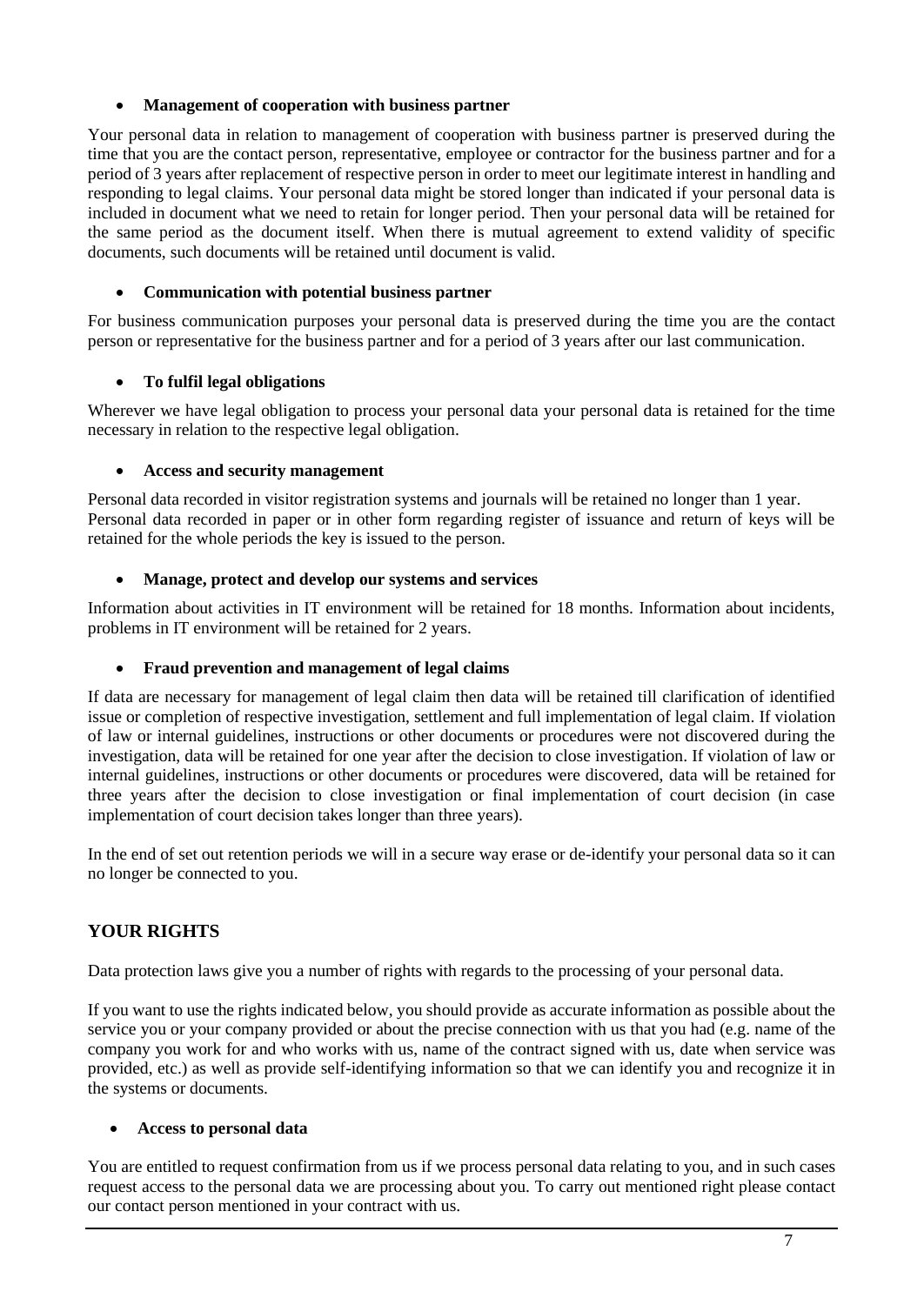## • **Management of cooperation with business partner**

Your personal data in relation to management of cooperation with business partner is preserved during the time that you are the contact person, representative, employee or contractor for the business partner and for a period of 3 years after replacement of respective person in order to meet our legitimate interest in handling and responding to legal claims. Your personal data might be stored longer than indicated if your personal data is included in document what we need to retain for longer period. Then your personal data will be retained for the same period as the document itself. When there is mutual agreement to extend validity of specific documents, such documents will be retained until document is valid.

### • **Communication with potential business partner**

For business communication purposes your personal data is preserved during the time you are the contact person or representative for the business partner and for a period of 3 years after our last communication.

### • **To fulfil legal obligations**

Wherever we have legal obligation to process your personal data your personal data is retained for the time necessary in relation to the respective legal obligation.

### • **Access and security management**

Personal data recorded in visitor registration systems and journals will be retained no longer than 1 year. Personal data recorded in paper or in other form regarding register of issuance and return of keys will be retained for the whole periods the key is issued to the person.

### • **Manage, protect and develop our systems and services**

Information about activities in IT environment will be retained for 18 months. Information about incidents, problems in IT environment will be retained for 2 years.

#### • **Fraud prevention and management of legal claims**

If data are necessary for management of legal claim then data will be retained till clarification of identified issue or completion of respective investigation, settlement and full implementation of legal claim. If violation of law or internal guidelines, instructions or other documents or procedures were not discovered during the investigation, data will be retained for one year after the decision to close investigation. If violation of law or internal guidelines, instructions or other documents or procedures were discovered, data will be retained for three years after the decision to close investigation or final implementation of court decision (in case implementation of court decision takes longer than three years).

In the end of set out retention periods we will in a secure way erase or de-identify your personal data so it can no longer be connected to you.

## **YOUR RIGHTS**

Data protection laws give you a number of rights with regards to the processing of your personal data.

If you want to use the rights indicated below, you should provide as accurate information as possible about the service you or your company provided or about the precise connection with us that you had (e.g. name of the company you work for and who works with us, name of the contract signed with us, date when service was provided, etc.) as well as provide self-identifying information so that we can identify you and recognize it in the systems or documents.

#### • **Access to personal data**

You are entitled to request confirmation from us if we process personal data relating to you, and in such cases request access to the personal data we are processing about you. To carry out mentioned right please contact our contact person mentioned in your contract with us.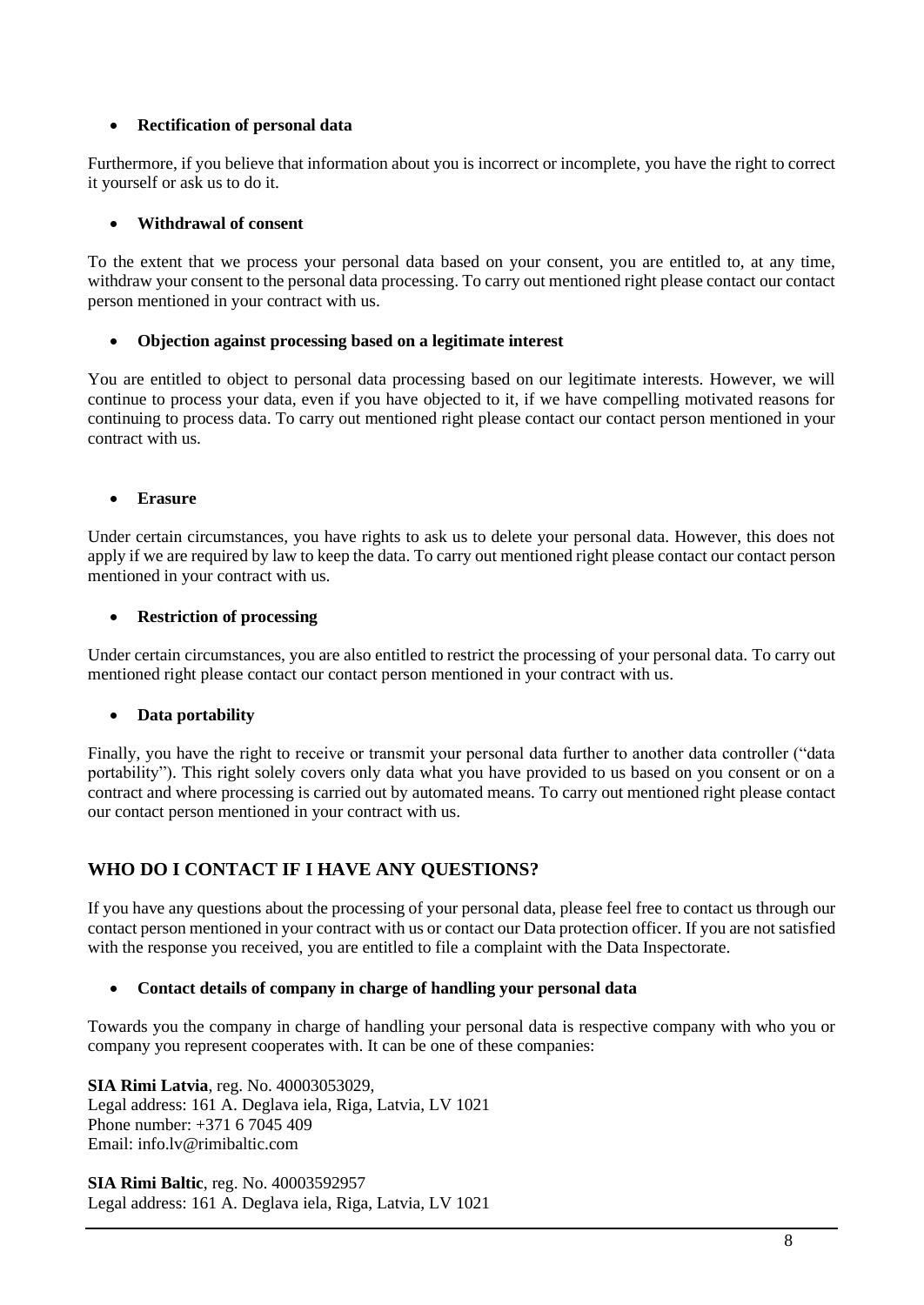## • **Rectification of personal data**

Furthermore, if you believe that information about you is incorrect or incomplete, you have the right to correct it yourself or ask us to do it.

### • **Withdrawal of consent**

To the extent that we process your personal data based on your consent, you are entitled to, at any time, withdraw your consent to the personal data processing. To carry out mentioned right please contact our contact person mentioned in your contract with us.

### • **Objection against processing based on a legitimate interest**

You are entitled to object to personal data processing based on our legitimate interests. However, we will continue to process your data, even if you have objected to it, if we have compelling motivated reasons for continuing to process data. To carry out mentioned right please contact our contact person mentioned in your contract with us.

### • **Erasure**

Under certain circumstances, you have rights to ask us to delete your personal data. However, this does not apply if we are required by law to keep the data. To carry out mentioned right please contact our contact person mentioned in your contract with us.

### • **Restriction of processing**

Under certain circumstances, you are also entitled to restrict the processing of your personal data. To carry out mentioned right please contact our contact person mentioned in your contract with us.

## • **Data portability**

Finally, you have the right to receive or transmit your personal data further to another data controller ("data portability"). This right solely covers only data what you have provided to us based on you consent or on a contract and where processing is carried out by automated means. To carry out mentioned right please contact our contact person mentioned in your contract with us.

# **WHO DO I CONTACT IF I HAVE ANY QUESTIONS?**

If you have any questions about the processing of your personal data, please feel free to contact us through our contact person mentioned in your contract with us or contact our Data protection officer. If you are not satisfied with the response you received, you are entitled to file a complaint with the Data Inspectorate.

#### • **Contact details of company in charge of handling your personal data**

Towards you the company in charge of handling your personal data is respective company with who you or company you represent cooperates with. It can be one of these companies:

**SIA Rimi Latvia**, reg. No. 40003053029, Legal address: 161 A. Deglava iela, Riga, Latvia, LV 1021 Phone number: +371 6 7045 409 Email: [info.lv@rimibaltic.com](mailto:info.lv@rimibaltic.com)

**SIA Rimi Baltic**, reg. No. 40003592957 Legal address: 161 A. Deglava iela, Riga, Latvia, LV 1021